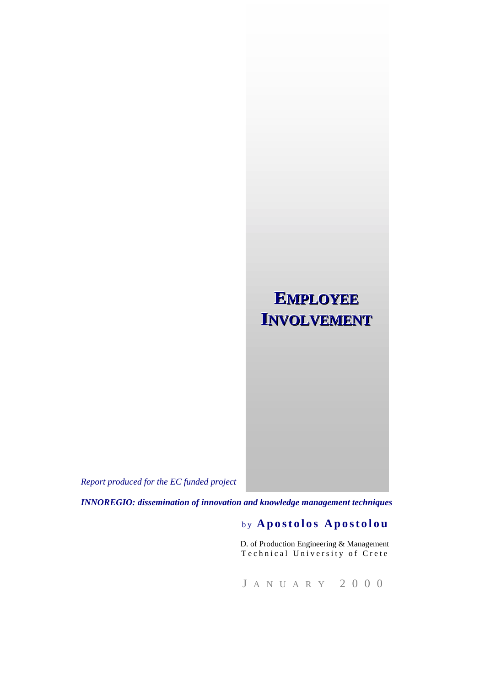# **EMPLOYEE INVOLVEMENT**

*Report produced for the EC funded project* 

*INNOREGIO: dissemination of innovation and knowledge management techniques*

# by **Apostolos Apostolou**

D. of Production Engineering & Management Technical University of Crete

J ANUARY 2000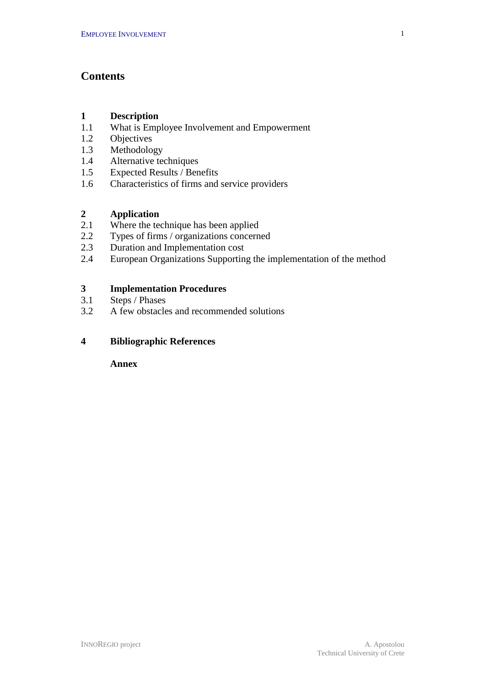# **Contents**

# **1 Description**

- 1.1 What is Employee Involvement and Empowerment
- 1.2 Objectives
- 1.3 Methodology
- 1.4 Alternative techniques
- 1.5 Expected Results / Benefits
- 1.6 Characteristics of firms and service providers

# **2 Application**

- 2.1 Where the technique has been applied
- 2.2 Types of firms / organizations concerned
- 2.3 Duration and Implementation cost
- 2.4 European Organizations Supporting the implementation of the method

# **3 Implementation Procedures**

- 3.1 Steps / Phases
- 3.2 A few obstacles and recommended solutions

# **4 Bibliographic References**

# **Annex**

1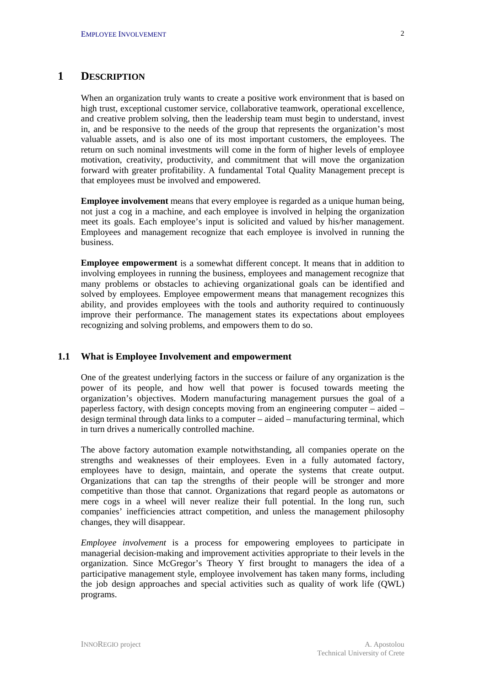# **1 DESCRIPTION**

When an organization truly wants to create a positive work environment that is based on high trust, exceptional customer service, collaborative teamwork, operational excellence, and creative problem solving, then the leadership team must begin to understand, invest in, and be responsive to the needs of the group that represents the organization's most valuable assets, and is also one of its most important customers, the employees. The return on such nominal investments will come in the form of higher levels of employee motivation, creativity, productivity, and commitment that will move the organization forward with greater profitability. A fundamental Total Quality Management precept is that employees must be involved and empowered.

**Employee involvement** means that every employee is regarded as a unique human being, not just a cog in a machine, and each employee is involved in helping the organization meet its goals. Each employee's input is solicited and valued by his/her management. Employees and management recognize that each employee is involved in running the business.

**Employee empowerment** is a somewhat different concept. It means that in addition to involving employees in running the business, employees and management recognize that many problems or obstacles to achieving organizational goals can be identified and solved by employees. Employee empowerment means that management recognizes this ability, and provides employees with the tools and authority required to continuously improve their performance. The management states its expectations about employees recognizing and solving problems, and empowers them to do so.

### **1.1 What is Employee Involvement and empowerment**

One of the greatest underlying factors in the success or failure of any organization is the power of its people, and how well that power is focused towards meeting the organization's objectives. Modern manufacturing management pursues the goal of a paperless factory, with design concepts moving from an engineering computer – aided – design terminal through data links to a computer – aided – manufacturing terminal, which in turn drives a numerically controlled machine.

The above factory automation example notwithstanding, all companies operate on the strengths and weaknesses of their employees. Even in a fully automated factory, employees have to design, maintain, and operate the systems that create output. Organizations that can tap the strengths of their people will be stronger and more competitive than those that cannot. Organizations that regard people as automatons or mere cogs in a wheel will never realize their full potential. In the long run, such companies' inefficiencies attract competition, and unless the management philosophy changes, they will disappear.

*Employee involvement* is a process for empowering employees to participate in managerial decision-making and improvement activities appropriate to their levels in the organization. Since McGregor's Theory Y first brought to managers the idea of a participative management style, employee involvement has taken many forms, including the job design approaches and special activities such as quality of work life (QWL) programs.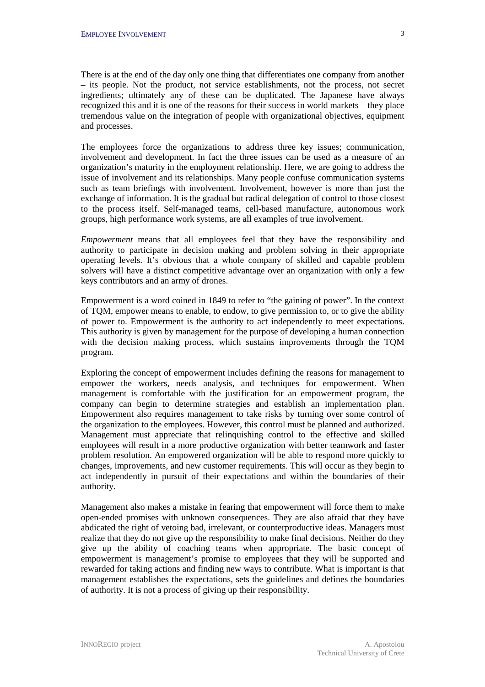There is at the end of the day only one thing that differentiates one company from another – its people. Not the product, not service establishments, not the process, not secret ingredients; ultimately any of these can be duplicated. The Japanese have always recognized this and it is one of the reasons for their success in world markets – they place tremendous value on the integration of people with organizational objectives, equipment and processes.

The employees force the organizations to address three key issues; communication, involvement and development. In fact the three issues can be used as a measure of an organization's maturity in the employment relationship. Here, we are going to address the issue of involvement and its relationships. Many people confuse communication systems such as team briefings with involvement. Involvement, however is more than just the exchange of information. It is the gradual but radical delegation of control to those closest to the process itself. Self-managed teams, cell-based manufacture, autonomous work groups, high performance work systems, are all examples of true involvement.

*Empowerment* means that all employees feel that they have the responsibility and authority to participate in decision making and problem solving in their appropriate operating levels. It's obvious that a whole company of skilled and capable problem solvers will have a distinct competitive advantage over an organization with only a few keys contributors and an army of drones.

Empowerment is a word coined in 1849 to refer to "the gaining of power". In the context of TQM, empower means to enable, to endow, to give permission to, or to give the ability of power to. Empowerment is the authority to act independently to meet expectations. This authority is given by management for the purpose of developing a human connection with the decision making process, which sustains improvements through the TQM program.

Exploring the concept of empowerment includes defining the reasons for management to empower the workers, needs analysis, and techniques for empowerment. When management is comfortable with the justification for an empowerment program, the company can begin to determine strategies and establish an implementation plan. Empowerment also requires management to take risks by turning over some control of the organization to the employees. However, this control must be planned and authorized. Management must appreciate that relinquishing control to the effective and skilled employees will result in a more productive organization with better teamwork and faster problem resolution. An empowered organization will be able to respond more quickly to changes, improvements, and new customer requirements. This will occur as they begin to act independently in pursuit of their expectations and within the boundaries of their authority.

Management also makes a mistake in fearing that empowerment will force them to make open-ended promises with unknown consequences. They are also afraid that they have abdicated the right of vetoing bad, irrelevant, or counterproductive ideas. Managers must realize that they do not give up the responsibility to make final decisions. Neither do they give up the ability of coaching teams when appropriate. The basic concept of empowerment is management's promise to employees that they will be supported and rewarded for taking actions and finding new ways to contribute. What is important is that management establishes the expectations, sets the guidelines and defines the boundaries of authority. It is not a process of giving up their responsibility.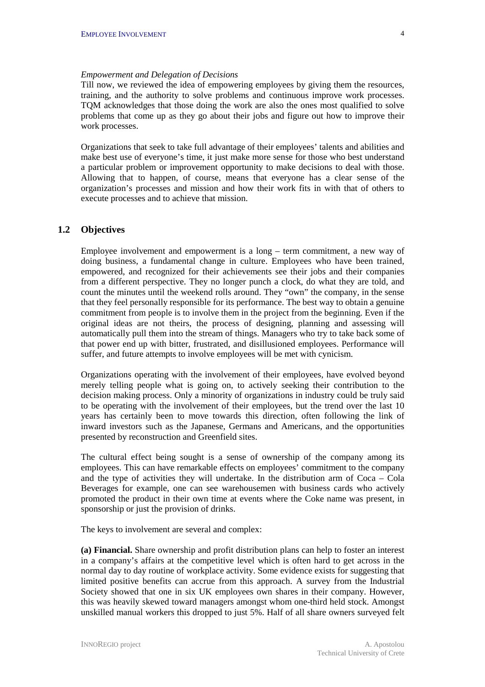#### *Empowerment and Delegation of Decisions*

Till now, we reviewed the idea of empowering employees by giving them the resources, training, and the authority to solve problems and continuous improve work processes. TQM acknowledges that those doing the work are also the ones most qualified to solve problems that come up as they go about their jobs and figure out how to improve their work processes.

Organizations that seek to take full advantage of their employees' talents and abilities and make best use of everyone's time, it just make more sense for those who best understand a particular problem or improvement opportunity to make decisions to deal with those. Allowing that to happen, of course, means that everyone has a clear sense of the organization's processes and mission and how their work fits in with that of others to execute processes and to achieve that mission.

### **1.2 Objectives**

Employee involvement and empowerment is a long – term commitment, a new way of doing business, a fundamental change in culture. Employees who have been trained, empowered, and recognized for their achievements see their jobs and their companies from a different perspective. They no longer punch a clock, do what they are told, and count the minutes until the weekend rolls around. They "own" the company, in the sense that they feel personally responsible for its performance. The best way to obtain a genuine commitment from people is to involve them in the project from the beginning. Even if the original ideas are not theirs, the process of designing, planning and assessing will automatically pull them into the stream of things. Managers who try to take back some of that power end up with bitter, frustrated, and disillusioned employees. Performance will suffer, and future attempts to involve employees will be met with cynicism.

Organizations operating with the involvement of their employees, have evolved beyond merely telling people what is going on, to actively seeking their contribution to the decision making process. Only a minority of organizations in industry could be truly said to be operating with the involvement of their employees, but the trend over the last 10 years has certainly been to move towards this direction, often following the link of inward investors such as the Japanese, Germans and Americans, and the opportunities presented by reconstruction and Greenfield sites.

The cultural effect being sought is a sense of ownership of the company among its employees. This can have remarkable effects on employees' commitment to the company and the type of activities they will undertake. In the distribution arm of Coca – Cola Beverages for example, one can see warehousemen with business cards who actively promoted the product in their own time at events where the Coke name was present, in sponsorship or just the provision of drinks.

The keys to involvement are several and complex:

**(a) Financial.** Share ownership and profit distribution plans can help to foster an interest in a company's affairs at the competitive level which is often hard to get across in the normal day to day routine of workplace activity. Some evidence exists for suggesting that limited positive benefits can accrue from this approach. A survey from the Industrial Society showed that one in six UK employees own shares in their company. However, this was heavily skewed toward managers amongst whom one-third held stock. Amongst unskilled manual workers this dropped to just 5%. Half of all share owners surveyed felt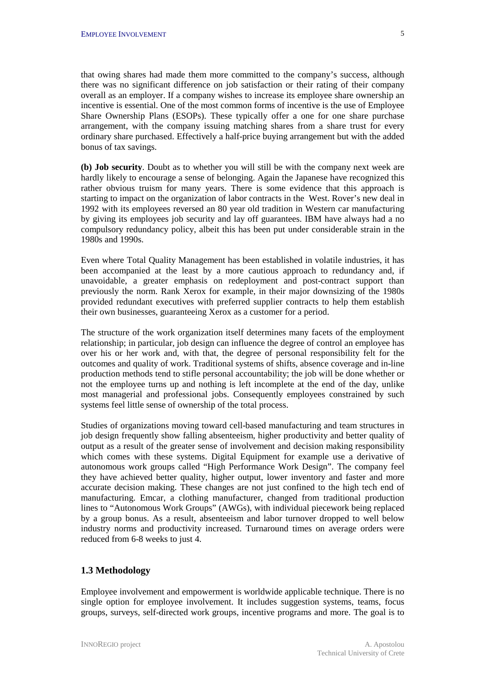that owing shares had made them more committed to the company's success, although there was no significant difference on job satisfaction or their rating of their company overall as an employer. If a company wishes to increase its employee share ownership an incentive is essential. One of the most common forms of incentive is the use of Employee Share Ownership Plans (ESOPs). These typically offer a one for one share purchase arrangement, with the company issuing matching shares from a share trust for every ordinary share purchased. Effectively a half-price buying arrangement but with the added bonus of tax savings.

**(b) Job security**. Doubt as to whether you will still be with the company next week are hardly likely to encourage a sense of belonging. Again the Japanese have recognized this rather obvious truism for many years. There is some evidence that this approach is starting to impact on the organization of labor contracts in the West. Rover's new deal in 1992 with its employees reversed an 80 year old tradition in Western car manufacturing by giving its employees job security and lay off guarantees. IBM have always had a no compulsory redundancy policy, albeit this has been put under considerable strain in the 1980s and 1990s.

Even where Total Quality Management has been established in volatile industries, it has been accompanied at the least by a more cautious approach to redundancy and, if unavoidable, a greater emphasis on redeployment and post-contract support than previously the norm. Rank Xerox for example, in their major downsizing of the 1980s provided redundant executives with preferred supplier contracts to help them establish their own businesses, guaranteeing Xerox as a customer for a period.

The structure of the work organization itself determines many facets of the employment relationship; in particular, job design can influence the degree of control an employee has over his or her work and, with that, the degree of personal responsibility felt for the outcomes and quality of work. Traditional systems of shifts, absence coverage and in-line production methods tend to stifle personal accountability; the job will be done whether or not the employee turns up and nothing is left incomplete at the end of the day, unlike most managerial and professional jobs. Consequently employees constrained by such systems feel little sense of ownership of the total process.

Studies of organizations moving toward cell-based manufacturing and team structures in job design frequently show falling absenteeism, higher productivity and better quality of output as a result of the greater sense of involvement and decision making responsibility which comes with these systems. Digital Equipment for example use a derivative of autonomous work groups called "High Performance Work Design". The company feel they have achieved better quality, higher output, lower inventory and faster and more accurate decision making. These changes are not just confined to the high tech end of manufacturing. Emcar, a clothing manufacturer, changed from traditional production lines to "Autonomous Work Groups" (AWGs), with individual piecework being replaced by a group bonus. As a result, absenteeism and labor turnover dropped to well below industry norms and productivity increased. Turnaround times on average orders were reduced from 6-8 weeks to just 4.

# **1.3 Methodology**

Employee involvement and empowerment is worldwide applicable technique. There is no single option for employee involvement. It includes suggestion systems, teams, focus groups, surveys, self-directed work groups, incentive programs and more. The goal is to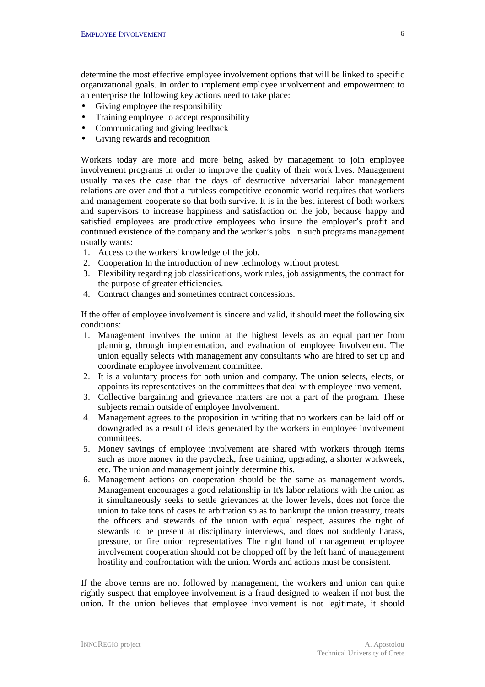determine the most effective employee involvement options that will be linked to specific organizational goals. In order to implement employee involvement and empowerment to an enterprise the following key actions need to take place:

- Giving employee the responsibility
- Training employee to accept responsibility
- Communicating and giving feedback
- Giving rewards and recognition

Workers today are more and more being asked by management to join employee involvement programs in order to improve the quality of their work lives. Management usually makes the case that the days of destructive adversarial labor management relations are over and that a ruthless competitive economic world requires that workers and management cooperate so that both survive. It is in the best interest of both workers and supervisors to increase happiness and satisfaction on the job, because happy and satisfied employees are productive employees who insure the employer's profit and continued existence of the company and the worker's jobs. In such programs management usually wants:

- 1. Access to the workers' knowledge of the job.
- 2. Cooperation In the introduction of new technology without protest.
- 3. Flexibility regarding job classifications, work rules, job assignments, the contract for the purpose of greater efficiencies.
- 4. Contract changes and sometimes contract concessions.

If the offer of employee involvement is sincere and valid, it should meet the following six conditions:

- 1. Management involves the union at the highest levels as an equal partner from planning, through implementation, and evaluation of employee Involvement. The union equally selects with management any consultants who are hired to set up and coordinate employee involvement committee.
- 2. It is a voluntary process for both union and company. The union selects, elects, or appoints its representatives on the committees that deal with employee involvement.
- 3. Collective bargaining and grievance matters are not a part of the program. These subjects remain outside of employee Involvement.
- 4. Management agrees to the proposition in writing that no workers can be laid off or downgraded as a result of ideas generated by the workers in employee involvement committees.
- 5. Money savings of employee involvement are shared with workers through items such as more money in the paycheck, free training, upgrading, a shorter workweek, etc. The union and management jointly determine this.
- 6. Management actions on cooperation should be the same as management words. Management encourages a good relationship in It's labor relations with the union as it simultaneously seeks to settle grievances at the lower levels, does not force the union to take tons of cases to arbitration so as to bankrupt the union treasury, treats the officers and stewards of the union with equal respect, assures the right of stewards to be present at disciplinary interviews, and does not suddenly harass, pressure, or fire union representatives The right hand of management employee involvement cooperation should not be chopped off by the left hand of management hostility and confrontation with the union. Words and actions must be consistent.

If the above terms are not followed by management, the workers and union can quite rightly suspect that employee involvement is a fraud designed to weaken if not bust the union. If the union believes that employee involvement is not legitimate, it should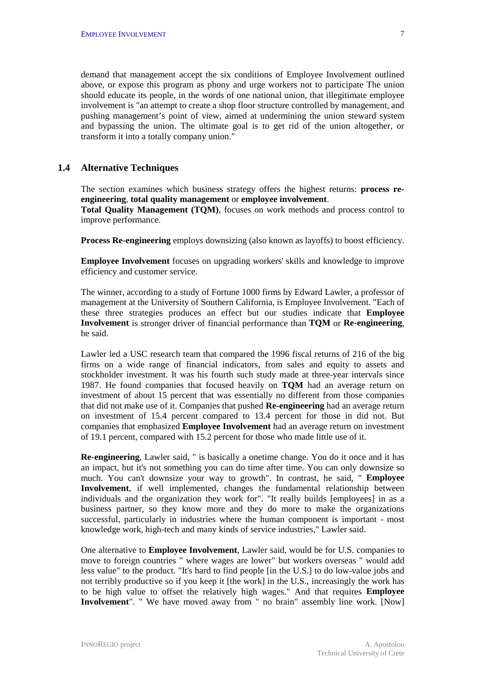demand that management accept the six conditions of Employee Involvement outlined above, or expose this program as phony and urge workers not to participate The union should educate its people, in the words of one national union, that illegitimate employee involvement is "an attempt to create a shop floor structure controlled by management, and pushing management's point of view, aimed at undermining the union steward system and bypassing the union. The ultimate goal is to get rid of the union altogether, or transform it into a totally company union."

### **1.4 Alternative Techniques**

The section examines which business strategy offers the highest returns: **process reengineering**, **total quality management** or **employee involvement**.

**Total Quality Management (TQM)**, focuses on work methods and process control to improve performance.

**Process Re-engineering** employs downsizing (also known as layoffs) to boost efficiency.

**Employee Involvement** focuses on upgrading workers' skills and knowledge to improve efficiency and customer service.

The winner, according to a study of Fortune 1000 firms by Edward Lawler, a professor of management at the University of Southern California, is Employee Involvement. "Each of these three strategies produces an effect but our studies indicate that **Employee Involvement** is stronger driver of financial performance than **TQM** or **Re-engineering**, he said.

Lawler led a USC research team that compared the 1996 fiscal returns of 216 of the big firms on a wide range of financial indicators, from sales and equity to assets and stockholder investment. It was his fourth such study made at three-year intervals since 1987. He found companies that focused heavily on **TQM** had an average return on investment of about 15 percent that was essentially no different from those companies that did not make use of it. Companies that pushed **Re-engineering** had an average return on investment of 15.4 percent compared to 13.4 percent for those in did not. But companies that emphasized **Employee Involvement** had an average return on investment of 19.1 percent, compared with 15.2 percent for those who made little use of it.

**Re-engineering**, Lawler said, " is basically a onetime change. You do it once and it has an impact, but it's not something you can do time after time. You can only downsize so much. You can't downsize your way to growth". In contrast, he said, " **Employee Involvement**, if well implemented, changes the fundamental relationship between individuals and the organization they work for". "It really builds [employees] in as a business partner, so they know more and they do more to make the organizations successful, particularly in industries where the human component is important - most knowledge work, high-tech and many kinds of service industries," Lawler said.

One alternative to **Employee Involvement**, Lawler said, would be for U.S. companies to move to foreign countries " where wages are lower" but workers overseas " would add less value" to the product. "It's hard to find people [in the U.S.] to do low-value jobs and not terribly productive so if you keep it [the work] in the U.S., increasingly the work has to be high value to offset the relatively high wages." And that requires **Employee Involvement**". " We have moved away from " no brain" assembly line work. [Now]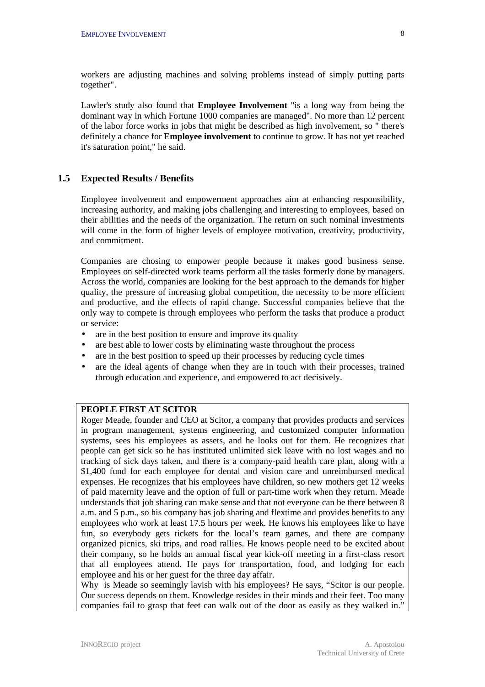Lawler's study also found that **Employee Involvement** "is a long way from being the dominant way in which Fortune 1000 companies are managed". No more than 12 percent of the labor force works in jobs that might be described as high involvement, so " there's definitely a chance for **Employee involvement** to continue to grow. It has not yet reached it's saturation point," he said.

# **1.5 Expected Results / Benefits**

Employee involvement and empowerment approaches aim at enhancing responsibility, increasing authority, and making jobs challenging and interesting to employees, based on their abilities and the needs of the organization. The return on such nominal investments will come in the form of higher levels of employee motivation, creativity, productivity, and commitment.

Companies are chosing to empower people because it makes good business sense. Employees on self-directed work teams perform all the tasks formerly done by managers. Across the world, companies are looking for the best approach to the demands for higher quality, the pressure of increasing global competition, the necessity to be more efficient and productive, and the effects of rapid change. Successful companies believe that the only way to compete is through employees who perform the tasks that produce a product or service:

- are in the best position to ensure and improve its quality
- are best able to lower costs by eliminating waste throughout the process
- are in the best position to speed up their processes by reducing cycle times
- are the ideal agents of change when they are in touch with their processes, trained through education and experience, and empowered to act decisively.

# **PEOPLE FIRST AT SCITOR**

Roger Meade, founder and CEO at Scitor, a company that provides products and services in program management, systems engineering, and customized computer information systems, sees his employees as assets, and he looks out for them. He recognizes that people can get sick so he has instituted unlimited sick leave with no lost wages and no tracking of sick days taken, and there is a company-paid health care plan, along with a \$1,400 fund for each employee for dental and vision care and unreimbursed medical expenses. He recognizes that his employees have children, so new mothers get 12 weeks of paid maternity leave and the option of full or part-time work when they return. Meade understands that job sharing can make sense and that not everyone can be there between 8 a.m. and 5 p.m., so his company has job sharing and flextime and provides benefits to any employees who work at least 17.5 hours per week. He knows his employees like to have fun, so everybody gets tickets for the local's team games, and there are company organized picnics, ski trips, and road rallies. He knows people need to be excited about their company, so he holds an annual fiscal year kick-off meeting in a first-class resort that all employees attend. He pays for transportation, food, and lodging for each employee and his or her guest for the three day affair.

Why is Meade so seemingly lavish with his employees? He says, "Scitor is our people. Our success depends on them. Knowledge resides in their minds and their feet. Too many companies fail to grasp that feet can walk out of the door as easily as they walked in."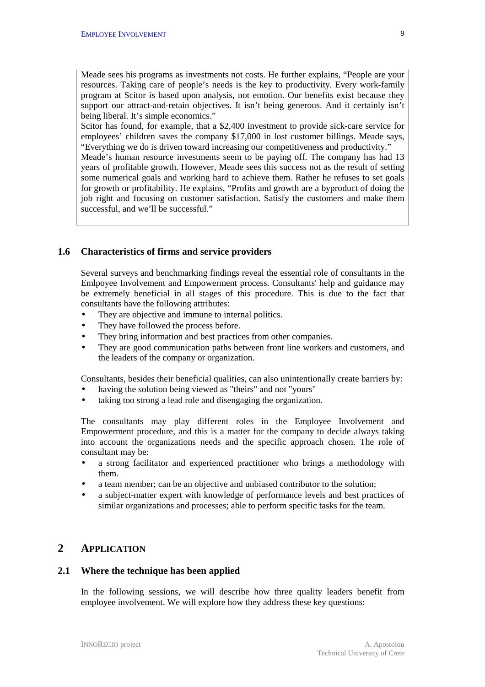Meade sees his programs as investments not costs. He further explains, "People are your resources. Taking care of people's needs is the key to productivity. Every work-family program at Scitor is based upon analysis, not emotion. Our benefits exist because they support our attract-and-retain objectives. It isn't being generous. And it certainly isn't being liberal. It's simple economics."

Scitor has found, for example, that a \$2,400 investment to provide sick-care service for employees' children saves the company \$17,000 in lost customer billings. Meade says, "Everything we do is driven toward increasing our competitiveness and productivity."

Meade's human resource investments seem to be paying off. The company has had 13 years of profitable growth. However, Meade sees this success not as the result of setting some numerical goals and working hard to achieve them. Rather he refuses to set goals for growth or profitability. He explains, "Profits and growth are a byproduct of doing the job right and focusing on customer satisfaction. Satisfy the customers and make them successful, and we'll be successful."

# **1.6 Characteristics of firms and service providers**

Several surveys and benchmarking findings reveal the essential role of consultants in the Emlpoyee Involvement and Empowerment process. Consultants' help and guidance may be extremely beneficial in all stages of this procedure. This is due to the fact that consultants have the following attributes:

- They are objective and immune to internal politics.
- They have followed the process before.
- They bring information and best practices from other companies.
- They are good communication paths between front line workers and customers, and the leaders of the company or organization.

Consultants, besides their beneficial qualities, can also unintentionally create barriers by:

- having the solution being viewed as "theirs" and not "yours"
- taking too strong a lead role and disengaging the organization.

The consultants may play different roles in the Employee Involvement and Empowerment procedure, and this is a matter for the company to decide always taking into account the organizations needs and the specific approach chosen. The role of consultant may be:

- a strong facilitator and experienced practitioner who brings a methodology with them.
- a team member; can be an objective and unbiased contributor to the solution;
- a subject-matter expert with knowledge of performance levels and best practices of similar organizations and processes; able to perform specific tasks for the team.

# **2 APPLICATION**

### **2.1 Where the technique has been applied**

In the following sessions, we will describe how three quality leaders benefit from employee involvement. We will explore how they address these key questions: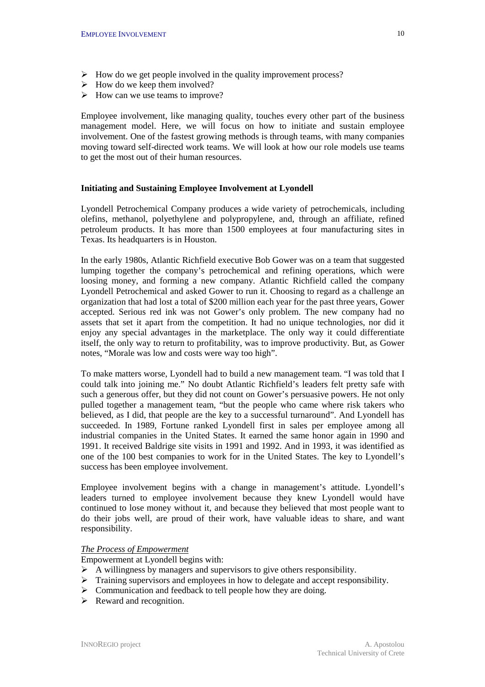- $\triangleright$  How do we get people involved in the quality improvement process?
- $\triangleright$  How do we keep them involved?
- $\triangleright$  How can we use teams to improve?

Employee involvement, like managing quality, touches every other part of the business management model. Here, we will focus on how to initiate and sustain employee involvement. One of the fastest growing methods is through teams, with many companies moving toward self-directed work teams. We will look at how our role models use teams to get the most out of their human resources.

#### **Initiating and Sustaining Employee Involvement at Lyondell**

Lyondell Petrochemical Company produces a wide variety of petrochemicals, including olefins, methanol, polyethylene and polypropylene, and, through an affiliate, refined petroleum products. It has more than 1500 employees at four manufacturing sites in Texas. Its headquarters is in Houston.

In the early 1980s, Atlantic Richfield executive Bob Gower was on a team that suggested lumping together the company's petrochemical and refining operations, which were loosing money, and forming a new company. Atlantic Richfield called the company Lyondell Petrochemical and asked Gower to run it. Choosing to regard as a challenge an organization that had lost a total of \$200 million each year for the past three years, Gower accepted. Serious red ink was not Gower's only problem. The new company had no assets that set it apart from the competition. It had no unique technologies, nor did it enjoy any special advantages in the marketplace. The only way it could differentiate itself, the only way to return to profitability, was to improve productivity. But, as Gower notes, "Morale was low and costs were way too high".

To make matters worse, Lyondell had to build a new management team. "I was told that I could talk into joining me." No doubt Atlantic Richfield's leaders felt pretty safe with such a generous offer, but they did not count on Gower's persuasive powers. He not only pulled together a management team, "but the people who came where risk takers who believed, as I did, that people are the key to a successful turnaround". And Lyondell has succeeded. In 1989, Fortune ranked Lyondell first in sales per employee among all industrial companies in the United States. It earned the same honor again in 1990 and 1991. It received Baldrige site visits in 1991 and 1992. And in 1993, it was identified as one of the 100 best companies to work for in the United States. The key to Lyondell's success has been employee involvement.

Employee involvement begins with a change in management's attitude. Lyondell's leaders turned to employee involvement because they knew Lyondell would have continued to lose money without it, and because they believed that most people want to do their jobs well, are proud of their work, have valuable ideas to share, and want responsibility.

# *The Process of Empowerment*

Empowerment at Lyondell begins with:

- $\triangleright$  A willingness by managers and supervisors to give others responsibility.
- $\triangleright$  Training supervisors and employees in how to delegate and accept responsibility.
- $\triangleright$  Communication and feedback to tell people how they are doing.
- $\triangleright$  Reward and recognition.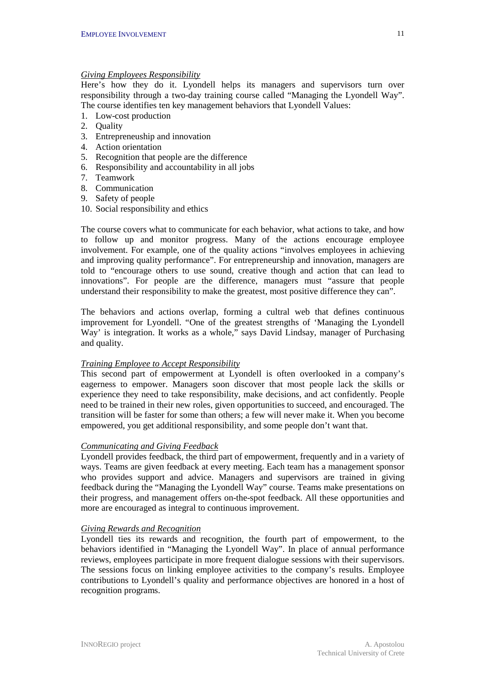#### *Giving Employees Responsibility*

Here's how they do it. Lyondell helps its managers and supervisors turn over responsibility through a two-day training course called "Managing the Lyondell Way". The course identifies ten key management behaviors that Lyondell Values:

- 1. Low-cost production
- 2. Quality
- 3. Entrepreneuship and innovation
- 4. Action orientation
- 5. Recognition that people are the difference
- 6. Responsibility and accountability in all jobs
- 7. Teamwork
- 8. Communication
- 9. Safety of people
- 10. Social responsibility and ethics

The course covers what to communicate for each behavior, what actions to take, and how to follow up and monitor progress. Many of the actions encourage employee involvement. For example, one of the quality actions "involves employees in achieving and improving quality performance". For entrepreneurship and innovation, managers are told to "encourage others to use sound, creative though and action that can lead to innovations". For people are the difference, managers must "assure that people understand their responsibility to make the greatest, most positive difference they can".

The behaviors and actions overlap, forming a cultral web that defines continuous improvement for Lyondell. "One of the greatest strengths of 'Managing the Lyondell Way' is integration. It works as a whole," says David Lindsay, manager of Purchasing and quality.

#### *Training Employee to Accept Responsibility*

This second part of empowerment at Lyondell is often overlooked in a company's eagerness to empower. Managers soon discover that most people lack the skills or experience they need to take responsibility, make decisions, and act confidently. People need to be trained in their new roles, given opportunities to succeed, and encouraged. The transition will be faster for some than others; a few will never make it. When you become empowered, you get additional responsibility, and some people don't want that.

#### *Communicating and Giving Feedback*

Lyondell provides feedback, the third part of empowerment, frequently and in a variety of ways. Teams are given feedback at every meeting. Each team has a management sponsor who provides support and advice. Managers and supervisors are trained in giving feedback during the "Managing the Lyondell Way" course. Teams make presentations on their progress, and management offers on-the-spot feedback. All these opportunities and more are encouraged as integral to continuous improvement.

#### *Giving Rewards and Recognition*

Lyondell ties its rewards and recognition, the fourth part of empowerment, to the behaviors identified in "Managing the Lyondell Way". In place of annual performance reviews, employees participate in more frequent dialogue sessions with their supervisors. The sessions focus on linking employee activities to the company's results. Employee contributions to Lyondell's quality and performance objectives are honored in a host of recognition programs.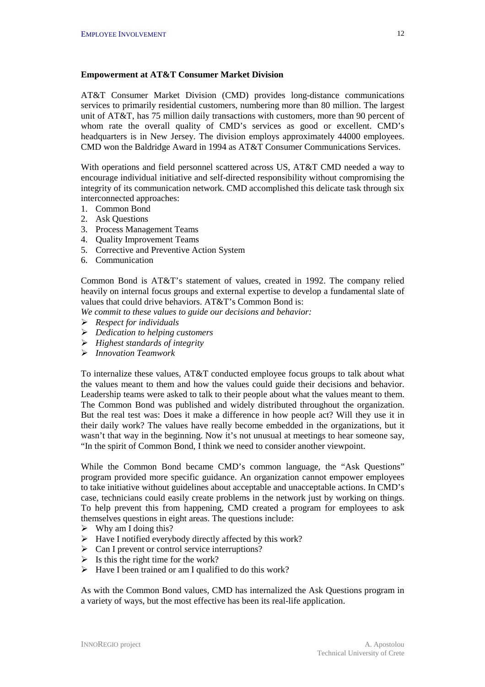#### **Empowerment at AT&T Consumer Market Division**

AT&T Consumer Market Division (CMD) provides long-distance communications services to primarily residential customers, numbering more than 80 million. The largest unit of AT&T, has 75 million daily transactions with customers, more than 90 percent of whom rate the overall quality of CMD's services as good or excellent. CMD's headquarters is in New Jersey. The division employs approximately 44000 employees. CMD won the Baldridge Award in 1994 as AT&T Consumer Communications Services.

With operations and field personnel scattered across US, AT&T CMD needed a way to encourage individual initiative and self-directed responsibility without compromising the integrity of its communication network. CMD accomplished this delicate task through six interconnected approaches:

- 1. Common Bond
- 2. Ask Questions
- 3. Process Management Teams
- 4. Quality Improvement Teams
- 5. Corrective and Preventive Action System
- 6. Communication

Common Bond is AT&T's statement of values, created in 1992. The company relied heavily on internal focus groups and external expertise to develop a fundamental slate of values that could drive behaviors. AT&T's Common Bond is:

- *We commit to these values to guide our decisions and behavior:*
- !"*Respect for individuals*
- !"*Dedication to helping customers*
- !"*Highest standards of integrity*
- !"*Innovation Teamwork*

To internalize these values, AT&T conducted employee focus groups to talk about what the values meant to them and how the values could guide their decisions and behavior. Leadership teams were asked to talk to their people about what the values meant to them. The Common Bond was published and widely distributed throughout the organization. But the real test was: Does it make a difference in how people act? Will they use it in their daily work? The values have really become embedded in the organizations, but it wasn't that way in the beginning. Now it's not unusual at meetings to hear someone say, "In the spirit of Common Bond, I think we need to consider another viewpoint.

While the Common Bond became CMD's common language, the "Ask Questions" program provided more specific guidance. An organization cannot empower employees to take initiative without guidelines about acceptable and unacceptable actions. In CMD's case, technicians could easily create problems in the network just by working on things. To help prevent this from happening, CMD created a program for employees to ask themselves questions in eight areas. The questions include:

- $\triangleright$  Why am I doing this?
- $\blacktriangleright$  Have I notified everybody directly affected by this work?
- $\triangleright$  Can I prevent or control service interruptions?
- $\triangleright$  Is this the right time for the work?
- $\triangleright$  Have I been trained or am I qualified to do this work?

As with the Common Bond values, CMD has internalized the Ask Questions program in a variety of ways, but the most effective has been its real-life application.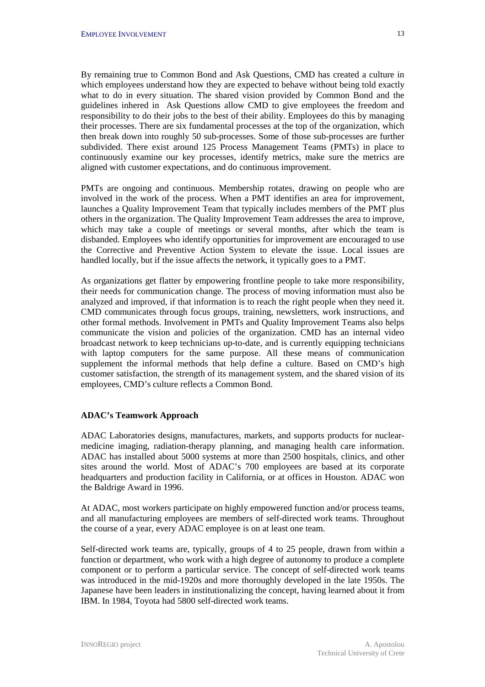By remaining true to Common Bond and Ask Questions, CMD has created a culture in which employees understand how they are expected to behave without being told exactly what to do in every situation. The shared vision provided by Common Bond and the guidelines inhered in Ask Questions allow CMD to give employees the freedom and responsibility to do their jobs to the best of their ability. Employees do this by managing their processes. There are six fundamental processes at the top of the organization, which then break down into roughly 50 sub-processes. Some of those sub-processes are further subdivided. There exist around 125 Process Management Teams (PMTs) in place to continuously examine our key processes, identify metrics, make sure the metrics are aligned with customer expectations, and do continuous improvement.

PMTs are ongoing and continuous. Membership rotates, drawing on people who are involved in the work of the process. When a PMT identifies an area for improvement, launches a Quality Improvement Team that typically includes members of the PMT plus others in the organization. The Quality Improvement Team addresses the area to improve, which may take a couple of meetings or several months, after which the team is disbanded. Employees who identify opportunities for improvement are encouraged to use the Corrective and Preventive Action System to elevate the issue. Local issues are handled locally, but if the issue affects the network, it typically goes to a PMT.

As organizations get flatter by empowering frontline people to take more responsibility, their needs for communication change. The process of moving information must also be analyzed and improved, if that information is to reach the right people when they need it. CMD communicates through focus groups, training, newsletters, work instructions, and other formal methods. Involvement in PMTs and Quality Improvement Teams also helps communicate the vision and policies of the organization. CMD has an internal video broadcast network to keep technicians up-to-date, and is currently equipping technicians with laptop computers for the same purpose. All these means of communication supplement the informal methods that help define a culture. Based on CMD's high customer satisfaction, the strength of its management system, and the shared vision of its employees, CMD's culture reflects a Common Bond.

### **ADAC's Teamwork Approach**

ADAC Laboratories designs, manufactures, markets, and supports products for nuclearmedicine imaging, radiation-therapy planning, and managing health care information. ADAC has installed about 5000 systems at more than 2500 hospitals, clinics, and other sites around the world. Most of ADAC's 700 employees are based at its corporate headquarters and production facility in California, or at offices in Houston. ADAC won the Baldrige Award in 1996.

At ADAC, most workers participate on highly empowered function and/or process teams, and all manufacturing employees are members of self-directed work teams. Throughout the course of a year, every ADAC employee is on at least one team.

Self-directed work teams are, typically, groups of 4 to 25 people, drawn from within a function or department, who work with a high degree of autonomy to produce a complete component or to perform a particular service. The concept of self-directed work teams was introduced in the mid-1920s and more thoroughly developed in the late 1950s. The Japanese have been leaders in institutionalizing the concept, having learned about it from IBM. In 1984, Toyota had 5800 self-directed work teams.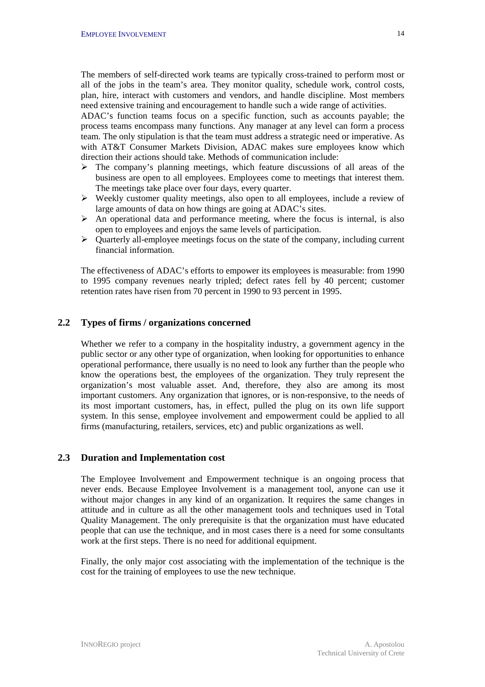The members of self-directed work teams are typically cross-trained to perform most or all of the jobs in the team's area. They monitor quality, schedule work, control costs, plan, hire, interact with customers and vendors, and handle discipline. Most members need extensive training and encouragement to handle such a wide range of activities.

ADAC's function teams focus on a specific function, such as accounts payable; the process teams encompass many functions. Any manager at any level can form a process team. The only stipulation is that the team must address a strategic need or imperative. As with AT&T Consumer Markets Division, ADAC makes sure employees know which direction their actions should take. Methods of communication include:

- $\triangleright$  The company's planning meetings, which feature discussions of all areas of the business are open to all employees. Employees come to meetings that interest them. The meetings take place over four days, every quarter.
- $\triangleright$  Weekly customer quality meetings, also open to all employees, include a review of large amounts of data on how things are going at ADAC's sites.
- $\triangleright$  An operational data and performance meeting, where the focus is internal, is also open to employees and enjoys the same levels of participation.
- $\triangleright$  Quarterly all-employee meetings focus on the state of the company, including current financial information.

The effectiveness of ADAC's efforts to empower its employees is measurable: from 1990 to 1995 company revenues nearly tripled; defect rates fell by 40 percent; customer retention rates have risen from 70 percent in 1990 to 93 percent in 1995.

# **2.2 Types of firms / organizations concerned**

Whether we refer to a company in the hospitality industry, a government agency in the public sector or any other type of organization, when looking for opportunities to enhance operational performance, there usually is no need to look any further than the people who know the operations best, the employees of the organization. They truly represent the organization's most valuable asset. And, therefore, they also are among its most important customers. Any organization that ignores, or is non-responsive, to the needs of its most important customers, has, in effect, pulled the plug on its own life support system. In this sense, employee involvement and empowerment could be applied to all firms (manufacturing, retailers, services, etc) and public organizations as well.

### **2.3 Duration and Implementation cost**

The Employee Involvement and Empowerment technique is an ongoing process that never ends. Because Employee Involvement is a management tool, anyone can use it without major changes in any kind of an organization. It requires the same changes in attitude and in culture as all the other management tools and techniques used in Total Quality Management. The only prerequisite is that the organization must have educated people that can use the technique, and in most cases there is a need for some consultants work at the first steps. There is no need for additional equipment.

Finally, the only major cost associating with the implementation of the technique is the cost for the training of employees to use the new technique.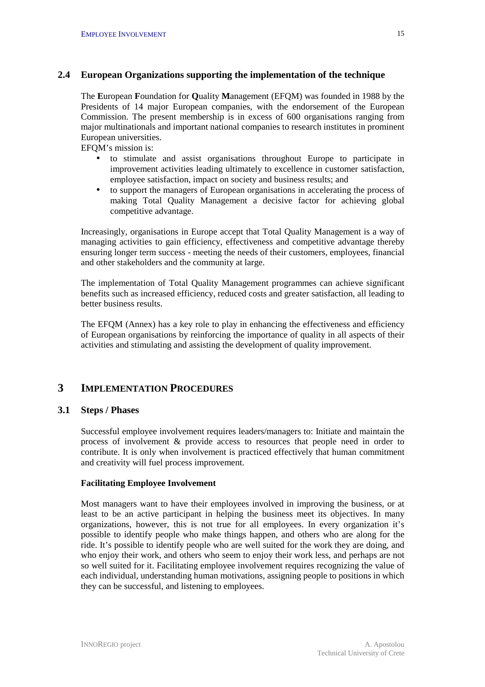### **2.4 European Organizations supporting the implementation of the technique**

The **E**uropean **F**oundation for **Q**uality **M**anagement (EFQM) was founded in 1988 by the Presidents of 14 major European companies, with the endorsement of the European Commission. The present membership is in excess of 600 organisations ranging from major multinationals and important national companies to research institutes in prominent European universities.

EFOM's mission is:

- to stimulate and assist organisations throughout Europe to participate in improvement activities leading ultimately to excellence in customer satisfaction, employee satisfaction, impact on society and business results; and
- to support the managers of European organisations in accelerating the process of making Total Quality Management a decisive factor for achieving global competitive advantage.

Increasingly, organisations in Europe accept that Total Quality Management is a way of managing activities to gain efficiency, effectiveness and competitive advantage thereby ensuring longer term success - meeting the needs of their customers, employees, financial and other stakeholders and the community at large.

The implementation of Total Quality Management programmes can achieve significant benefits such as increased efficiency, reduced costs and greater satisfaction, all leading to better business results.

The EFQM (Annex) has a key role to play in enhancing the effectiveness and efficiency of European organisations by reinforcing the importance of quality in all aspects of their activities and stimulating and assisting the development of quality improvement.

# **3 IMPLEMENTATION PROCEDURES**

### **3.1 Steps / Phases**

Successful employee involvement requires leaders/managers to: Initiate and maintain the process of involvement & provide access to resources that people need in order to contribute. It is only when involvement is practiced effectively that human commitment and creativity will fuel process improvement.

### **Facilitating Employee Involvement**

Most managers want to have their employees involved in improving the business, or at least to be an active participant in helping the business meet its objectives. In many organizations, however, this is not true for all employees. In every organization it's possible to identify people who make things happen, and others who are along for the ride. It's possible to identify people who are well suited for the work they are doing, and who enjoy their work, and others who seem to enjoy their work less, and perhaps are not so well suited for it. Facilitating employee involvement requires recognizing the value of each individual, understanding human motivations, assigning people to positions in which they can be successful, and listening to employees.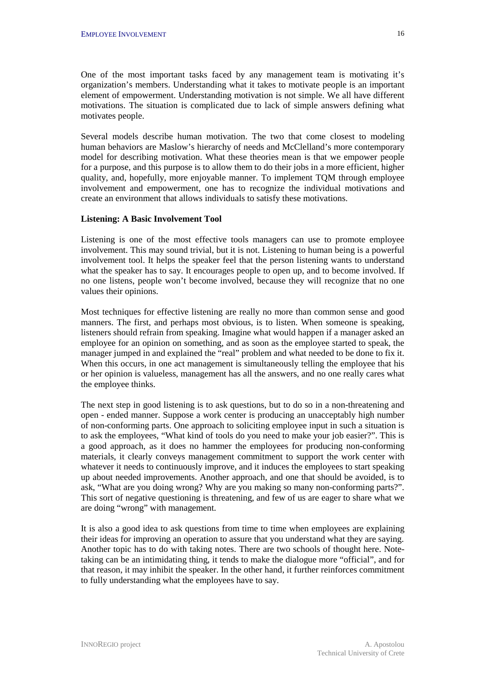One of the most important tasks faced by any management team is motivating it's organization's members. Understanding what it takes to motivate people is an important element of empowerment. Understanding motivation is not simple. We all have different motivations. The situation is complicated due to lack of simple answers defining what motivates people.

Several models describe human motivation. The two that come closest to modeling human behaviors are Maslow's hierarchy of needs and McClelland's more contemporary model for describing motivation. What these theories mean is that we empower people for a purpose, and this purpose is to allow them to do their jobs in a more efficient, higher quality, and, hopefully, more enjoyable manner. To implement TQM through employee involvement and empowerment, one has to recognize the individual motivations and create an environment that allows individuals to satisfy these motivations.

### **Listening: A Basic Involvement Tool**

Listening is one of the most effective tools managers can use to promote employee involvement. This may sound trivial, but it is not. Listening to human being is a powerful involvement tool. It helps the speaker feel that the person listening wants to understand what the speaker has to say. It encourages people to open up, and to become involved. If no one listens, people won't become involved, because they will recognize that no one values their opinions.

Most techniques for effective listening are really no more than common sense and good manners. The first, and perhaps most obvious, is to listen. When someone is speaking, listeners should refrain from speaking. Imagine what would happen if a manager asked an employee for an opinion on something, and as soon as the employee started to speak, the manager jumped in and explained the "real" problem and what needed to be done to fix it. When this occurs, in one act management is simultaneously telling the employee that his or her opinion is valueless, management has all the answers, and no one really cares what the employee thinks.

The next step in good listening is to ask questions, but to do so in a non-threatening and open - ended manner. Suppose a work center is producing an unacceptably high number of non-conforming parts. One approach to soliciting employee input in such a situation is to ask the employees, "What kind of tools do you need to make your job easier?". This is a good approach, as it does no hammer the employees for producing non-conforming materials, it clearly conveys management commitment to support the work center with whatever it needs to continuously improve, and it induces the employees to start speaking up about needed improvements. Another approach, and one that should be avoided, is to ask, "What are you doing wrong? Why are you making so many non-conforming parts?". This sort of negative questioning is threatening, and few of us are eager to share what we are doing "wrong" with management.

It is also a good idea to ask questions from time to time when employees are explaining their ideas for improving an operation to assure that you understand what they are saying. Another topic has to do with taking notes. There are two schools of thought here. Notetaking can be an intimidating thing, it tends to make the dialogue more "official", and for that reason, it may inhibit the speaker. In the other hand, it further reinforces commitment to fully understanding what the employees have to say.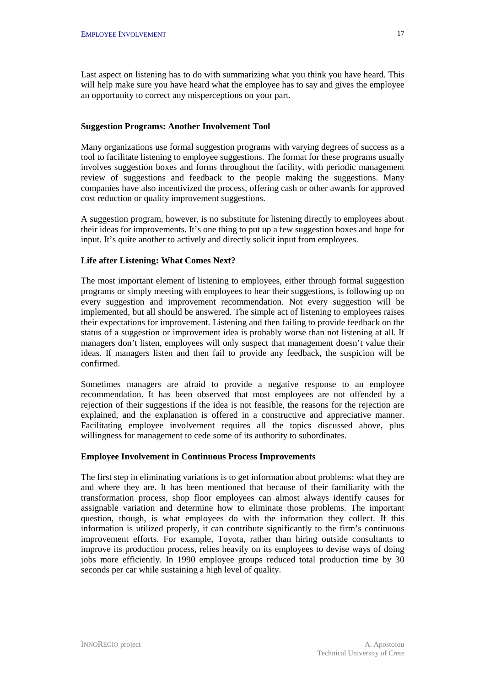Last aspect on listening has to do with summarizing what you think you have heard. This will help make sure you have heard what the employee has to say and gives the employee an opportunity to correct any misperceptions on your part.

#### **Suggestion Programs: Another Involvement Tool**

Many organizations use formal suggestion programs with varying degrees of success as a tool to facilitate listening to employee suggestions. The format for these programs usually involves suggestion boxes and forms throughout the facility, with periodic management review of suggestions and feedback to the people making the suggestions. Many companies have also incentivized the process, offering cash or other awards for approved cost reduction or quality improvement suggestions.

A suggestion program, however, is no substitute for listening directly to employees about their ideas for improvements. It's one thing to put up a few suggestion boxes and hope for input. It's quite another to actively and directly solicit input from employees.

#### **Life after Listening: What Comes Next?**

The most important element of listening to employees, either through formal suggestion programs or simply meeting with employees to hear their suggestions, is following up on every suggestion and improvement recommendation. Not every suggestion will be implemented, but all should be answered. The simple act of listening to employees raises their expectations for improvement. Listening and then failing to provide feedback on the status of a suggestion or improvement idea is probably worse than not listening at all. If managers don't listen, employees will only suspect that management doesn't value their ideas. If managers listen and then fail to provide any feedback, the suspicion will be confirmed.

Sometimes managers are afraid to provide a negative response to an employee recommendation. It has been observed that most employees are not offended by a rejection of their suggestions if the idea is not feasible, the reasons for the rejection are explained, and the explanation is offered in a constructive and appreciative manner. Facilitating employee involvement requires all the topics discussed above, plus willingness for management to cede some of its authority to subordinates.

### **Employee Involvement in Continuous Process Improvements**

The first step in eliminating variations is to get information about problems: what they are and where they are. It has been mentioned that because of their familiarity with the transformation process, shop floor employees can almost always identify causes for assignable variation and determine how to eliminate those problems. The important question, though, is what employees do with the information they collect. If this information is utilized properly, it can contribute significantly to the firm's continuous improvement efforts. For example, Toyota, rather than hiring outside consultants to improve its production process, relies heavily on its employees to devise ways of doing jobs more efficiently. In 1990 employee groups reduced total production time by 30 seconds per car while sustaining a high level of quality.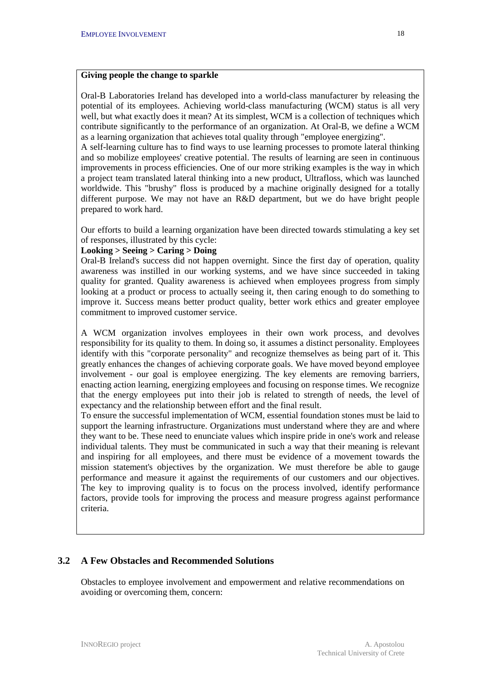### **Giving people the change to sparkle**

Oral-B Laboratories Ireland has developed into a world-class manufacturer by releasing the potential of its employees. Achieving world-class manufacturing (WCM) status is all very well, but what exactly does it mean? At its simplest, WCM is a collection of techniques which contribute significantly to the performance of an organization. At Oral-B, we define a WCM as a learning organization that achieves total quality through "employee energizing".

A self-learning culture has to find ways to use learning processes to promote lateral thinking and so mobilize employees' creative potential. The results of learning are seen in continuous improvements in process efficiencies. One of our more striking examples is the way in which a project team translated lateral thinking into a new product, Ultrafloss, which was launched worldwide. This "brushy" floss is produced by a machine originally designed for a totally different purpose. We may not have an R&D department, but we do have bright people prepared to work hard.

Our efforts to build a learning organization have been directed towards stimulating a key set of responses, illustrated by this cycle:

#### **Looking > Seeing > Caring > Doing**

Oral-B Ireland's success did not happen overnight. Since the first day of operation, quality awareness was instilled in our working systems, and we have since succeeded in taking quality for granted. Quality awareness is achieved when employees progress from simply looking at a product or process to actually seeing it, then caring enough to do something to improve it. Success means better product quality, better work ethics and greater employee commitment to improved customer service.

A WCM organization involves employees in their own work process, and devolves responsibility for its quality to them. In doing so, it assumes a distinct personality. Employees identify with this "corporate personality" and recognize themselves as being part of it. This greatly enhances the changes of achieving corporate goals. We have moved beyond employee involvement - our goal is employee energizing. The key elements are removing barriers, enacting action learning, energizing employees and focusing on response times. We recognize that the energy employees put into their job is related to strength of needs, the level of expectancy and the relationship between effort and the final result.

To ensure the successful implementation of WCM, essential foundation stones must be laid to support the learning infrastructure. Organizations must understand where they are and where they want to be. These need to enunciate values which inspire pride in one's work and release individual talents. They must be communicated in such a way that their meaning is relevant and inspiring for all employees, and there must be evidence of a movement towards the mission statement's objectives by the organization. We must therefore be able to gauge performance and measure it against the requirements of our customers and our objectives. The key to improving quality is to focus on the process involved, identify performance factors, provide tools for improving the process and measure progress against performance criteria.

### **3.2 A Few Obstacles and Recommended Solutions**

Obstacles to employee involvement and empowerment and relative recommendations on avoiding or overcoming them, concern: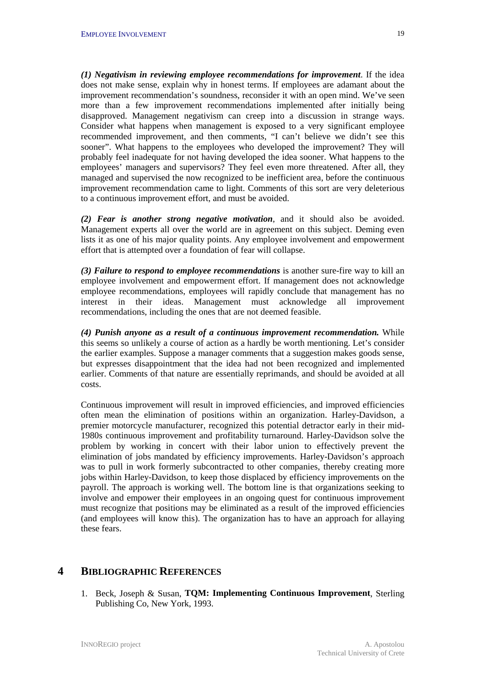*(1) Negativism in reviewing employee recommendations for improvement*. If the idea does not make sense, explain why in honest terms. If employees are adamant about the improvement recommendation's soundness, reconsider it with an open mind. We've seen more than a few improvement recommendations implemented after initially being disapproved. Management negativism can creep into a discussion in strange ways. Consider what happens when management is exposed to a very significant employee recommended improvement, and then comments, "I can't believe we didn't see this sooner". What happens to the employees who developed the improvement? They will probably feel inadequate for not having developed the idea sooner. What happens to the employees' managers and supervisors? They feel even more threatened. After all, they managed and supervised the now recognized to be inefficient area, before the continuous improvement recommendation came to light. Comments of this sort are very deleterious to a continuous improvement effort, and must be avoided.

*(2) Fear is another strong negative motivation*, and it should also be avoided. Management experts all over the world are in agreement on this subject. Deming even lists it as one of his major quality points. Any employee involvement and empowerment effort that is attempted over a foundation of fear will collapse.

*(3) Failure to respond to employee recommendations* is another sure-fire way to kill an employee involvement and empowerment effort. If management does not acknowledge employee recommendations, employees will rapidly conclude that management has no interest in their ideas. Management must acknowledge all improvement recommendations, including the ones that are not deemed feasible.

*(4) Punish anyone as a result of a continuous improvement recommendation.* While this seems so unlikely a course of action as a hardly be worth mentioning. Let's consider the earlier examples. Suppose a manager comments that a suggestion makes goods sense, but expresses disappointment that the idea had not been recognized and implemented earlier. Comments of that nature are essentially reprimands, and should be avoided at all costs.

Continuous improvement will result in improved efficiencies, and improved efficiencies often mean the elimination of positions within an organization. Harley-Davidson, a premier motorcycle manufacturer, recognized this potential detractor early in their mid-1980s continuous improvement and profitability turnaround. Harley-Davidson solve the problem by working in concert with their labor union to effectively prevent the elimination of jobs mandated by efficiency improvements. Harley-Davidson's approach was to pull in work formerly subcontracted to other companies, thereby creating more jobs within Harley-Davidson, to keep those displaced by efficiency improvements on the payroll. The approach is working well. The bottom line is that organizations seeking to involve and empower their employees in an ongoing quest for continuous improvement must recognize that positions may be eliminated as a result of the improved efficiencies (and employees will know this). The organization has to have an approach for allaying these fears.

# **4 BIBLIOGRAPHIC REFERENCES**

1. Beck, Joseph & Susan, **TQM: Implementing Continuous Improvement**, Sterling Publishing Co, New York, 1993.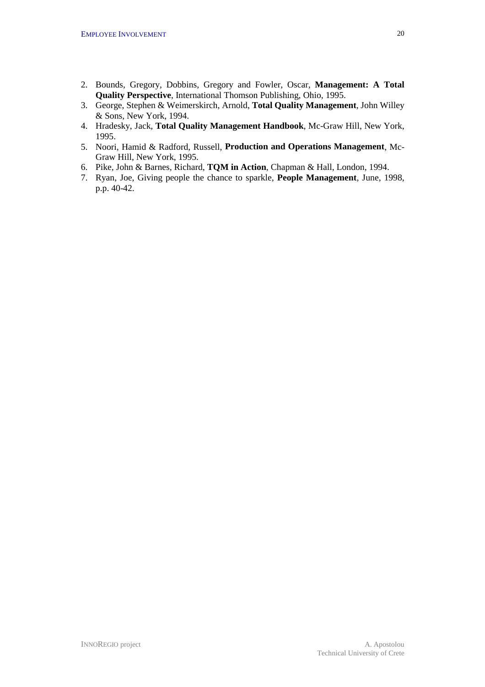- 2. Bounds, Gregory, Dobbins, Gregory and Fowler, Oscar, **Management: A Total Quality Perspective**, International Thomson Publishing, Ohio, 1995.
- 3. George, Stephen & Weimerskirch, Arnold, **Total Quality Management**, John Willey & Sons, New York, 1994.
- 4. Hradesky, Jack, **Total Quality Management Handbook**, Mc-Graw Hill, New York, 1995.
- 5. Noori, Hamid & Radford, Russell, **Production and Operations Management**, Mc-Graw Hill, New York, 1995.
- 6. Pike, John & Barnes, Richard, **TQM in Action**, Chapman & Hall, London, 1994.
- 7. Ryan, Joe, Giving people the chance to sparkle, **People Management**, June, 1998, p.p. 40-42.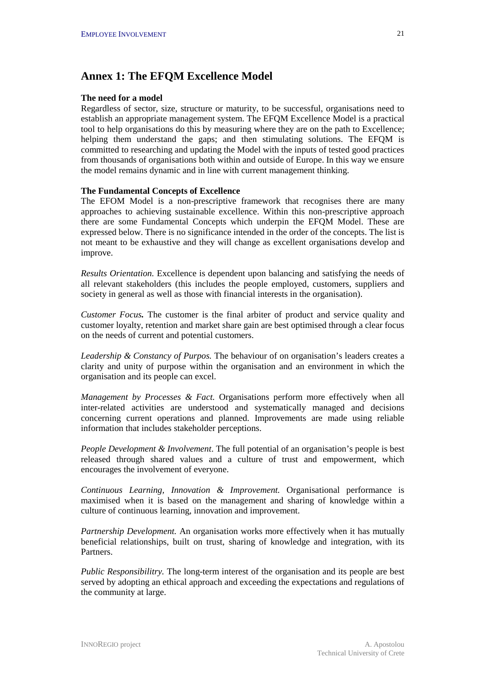# **Annex 1: The EFQM Excellence Model**

#### **The need for a model**

Regardless of sector, size, structure or maturity, to be successful, organisations need to establish an appropriate management system. The EFQM Excellence Model is a practical tool to help organisations do this by measuring where they are on the path to Excellence; helping them understand the gaps; and then stimulating solutions. The EFOM is committed to researching and updating the Model with the inputs of tested good practices from thousands of organisations both within and outside of Europe. In this way we ensure the model remains dynamic and in line with current management thinking.

#### **The Fundamental Concepts of Excellence**

The EFOM Model is a non-prescriptive framework that recognises there are many approaches to achieving sustainable excellence. Within this non-prescriptive approach there are some Fundamental Concepts which underpin the EFQM Model. These are expressed below. There is no significance intended in the order of the concepts. The list is not meant to be exhaustive and they will change as excellent organisations develop and improve.

*Results Orientation.* Excellence is dependent upon balancing and satisfying the needs of all relevant stakeholders (this includes the people employed, customers, suppliers and society in general as well as those with financial interests in the organisation).

*Customer Focus.* The customer is the final arbiter of product and service quality and customer loyalty, retention and market share gain are best optimised through a clear focus on the needs of current and potential customers.

*Leadership & Constancy of Purpos.* The behaviour of on organisation's leaders creates a clarity and unity of purpose within the organisation and an environment in which the organisation and its people can excel.

*Management by Processes & Fact.* Organisations perform more effectively when all inter-related activities are understood and systematically managed and decisions concerning current operations and planned. Improvements are made using reliable information that includes stakeholder perceptions.

*People Development & Involvement*. The full potential of an organisation's people is best released through shared values and a culture of trust and empowerment, which encourages the involvement of everyone.

*Continuous Learning, Innovation & Improvement.* Organisational performance is maximised when it is based on the management and sharing of knowledge within a culture of continuous learning, innovation and improvement.

*Partnership Development.* An organisation works more effectively when it has mutually beneficial relationships, built on trust, sharing of knowledge and integration, with its Partners.

*Public Responsibilitry.* The long-term interest of the organisation and its people are best served by adopting an ethical approach and exceeding the expectations and regulations of the community at large.